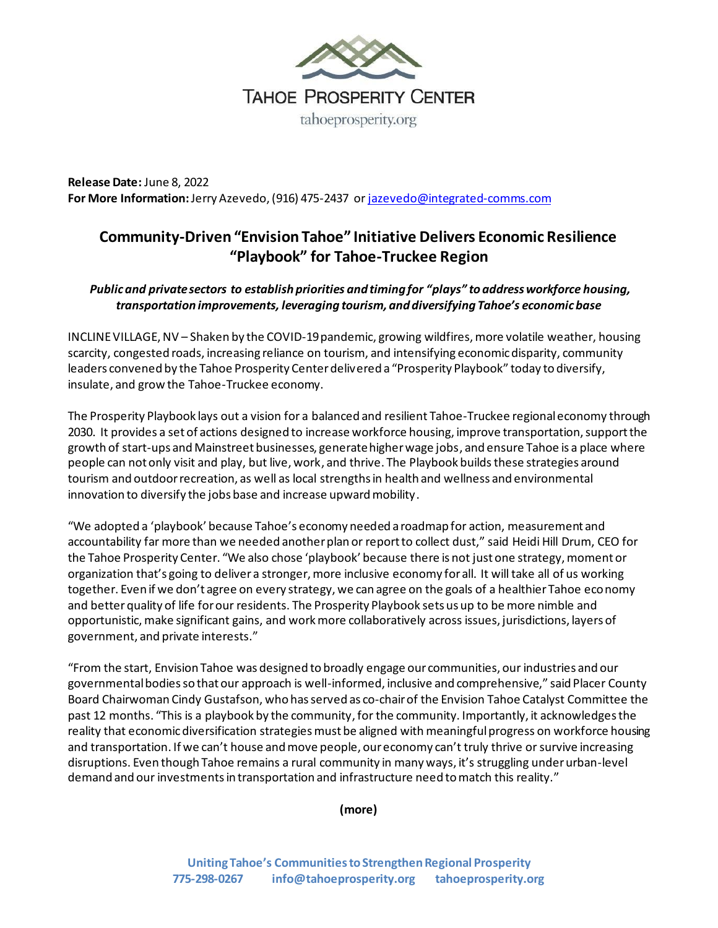

**Release Date:** June 8, 2022 **For More Information:**Jerry Azevedo, (916) 475-2437 o[r jazevedo@integrated-comms.com](mailto:jazevedo@integrated-comms.com)

## **Community-Driven "Envision Tahoe" Initiative Delivers Economic Resilience "Playbook" for Tahoe-Truckee Region**

## *Publicand private sectors to establish priorities and timing for "plays" to address workforce housing, transportation improvements, leveraging tourism, and diversifying Tahoe's economicbase*

INCLINE VILLAGE, NV – Shaken by the COVID-19pandemic, growing wildfires, more volatile weather, housing scarcity, congested roads, increasing reliance on tourism, and intensifying economic disparity, community leaders convened by the Tahoe Prosperity Center delivered a "Prosperity Playbook" today to diversify, insulate, and grow the Tahoe-Truckee economy.

The Prosperity Playbook lays out a vision for a balanced and resilient Tahoe-Truckee regional economy through 2030. It provides a set of actions designed to increase workforce housing, improve transportation, support the growth of start-ups and Mainstreet businesses, generate higher wage jobs, and ensure Tahoe is a place where people can not only visit and play, but live, work, and thrive. The Playbook builds these strategies around tourism and outdoor recreation, as well as local strengths in health and wellness and environmental innovation to diversify the jobs base and increase upward mobility.

"We adopted a 'playbook' because Tahoe's economy needed a roadmap for action, measurement and accountability far more than we needed another plan or report to collect dust," said Heidi Hill Drum, CEO for the Tahoe Prosperity Center. "We also chose 'playbook' because there is not just one strategy, moment or organization that's going to deliver a stronger, more inclusive economy for all. It will take all of us working together. Even if we don't agree on every strategy, we can agree on the goals of a healthier Tahoe economy and better quality of life for our residents. The Prosperity Playbook sets us up to be more nimble and opportunistic, make significant gains, and work more collaboratively across issues, jurisdictions, layers of government, and private interests."

"From the start, Envision Tahoe was designed to broadly engage our communities, our industries and our governmental bodies so that our approach is well-informed, inclusive and comprehensive," said Placer County Board Chairwoman Cindy Gustafson, who has served as co-chair of the Envision Tahoe Catalyst Committee the past 12 months. "This is a playbook by the community,for the community. Importantly, it acknowledges the reality that economicdiversification strategies must be aligned with meaningful progress on workforce housing and transportation. If we can't house and move people, our economy can't truly thrive or survive increasing disruptions. Even though Tahoe remains a rural community in many ways, it's struggling under urban-level demand and our investments in transportation and infrastructure need to match this reality."

**(more)**